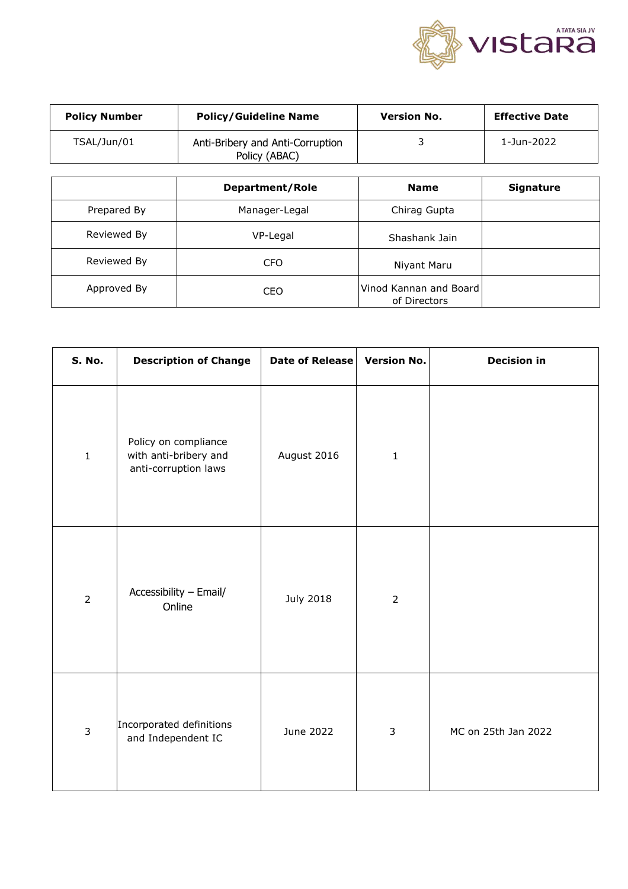

| <b>Policy Number</b>                                             | <b>Policy/Guideline Name</b> | <b>Version No.</b>                     | <b>Effective Date</b> |  |
|------------------------------------------------------------------|------------------------------|----------------------------------------|-----------------------|--|
| TSAL/Jun/01<br>Anti-Bribery and Anti-Corruption<br>Policy (ABAC) |                              | 3                                      | 1-Jun-2022            |  |
|                                                                  |                              |                                        |                       |  |
|                                                                  | <b>Department/Role</b>       | <b>Name</b>                            | <b>Signature</b>      |  |
| Prepared By                                                      | Manager-Legal                | Chirag Gupta                           |                       |  |
| Reviewed By                                                      | VP-Legal                     | Shashank Jain                          |                       |  |
| Reviewed By                                                      | <b>CFO</b>                   | Niyant Maru                            |                       |  |
| Approved By                                                      | <b>CEO</b>                   | Vinod Kannan and Board<br>of Directors |                       |  |

| S. No.         | <b>Description of Change</b>                                          | Date of Release  | <b>Version No.</b> | <b>Decision in</b>  |
|----------------|-----------------------------------------------------------------------|------------------|--------------------|---------------------|
| $\mathbf 1$    | Policy on compliance<br>with anti-bribery and<br>anti-corruption laws | August 2016      | $\mathbf{1}$       |                     |
| $\overline{2}$ | Accessibility - Email/<br>Online                                      | <b>July 2018</b> | $\overline{2}$     |                     |
| $\overline{3}$ | Incorporated definitions<br>and Independent IC                        | June 2022        | $\mathbf{3}$       | MC on 25th Jan 2022 |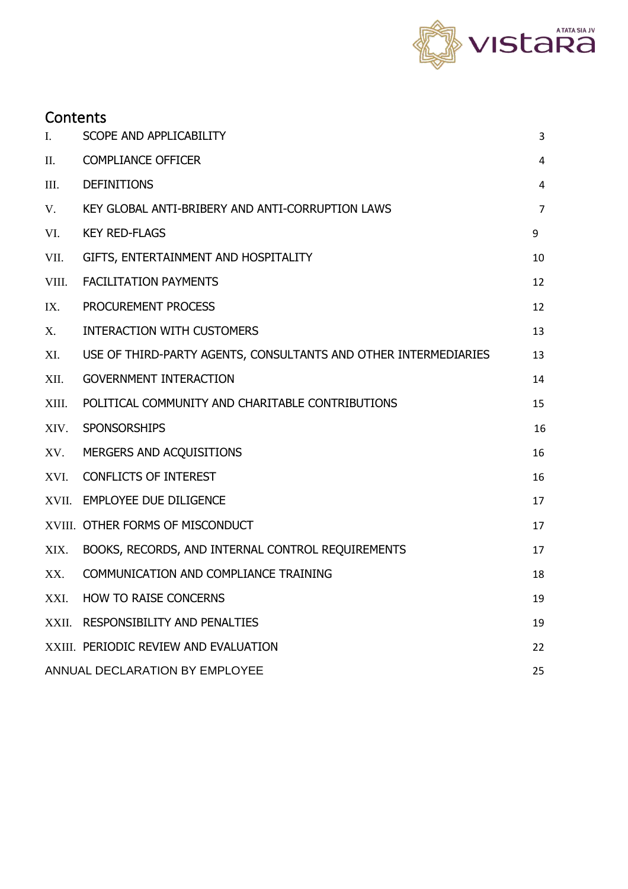

| П.    | <b>COMPLIANCE OFFICER</b>                                       | 4              |
|-------|-----------------------------------------------------------------|----------------|
| Ш.    | <b>DEFINITIONS</b>                                              | 4              |
| V.    | KEY GLOBAL ANTI-BRIBERY AND ANTI-CORRUPTION LAWS                | $\overline{7}$ |
| VI.   | <b>KEY RED-FLAGS</b>                                            | 9              |
| VII.  | GIFTS, ENTERTAINMENT AND HOSPITALITY                            | 10             |
| VIII. | <b>FACILITATION PAYMENTS</b>                                    | 12             |
| IX.   | PROCUREMENT PROCESS                                             | 12             |
| Х.    | <b>INTERACTION WITH CUSTOMERS</b>                               | 13             |
| XI.   | USE OF THIRD-PARTY AGENTS, CONSULTANTS AND OTHER INTERMEDIARIES | 13             |
| XII.  | <b>GOVERNMENT INTERACTION</b>                                   | 14             |
| XIII. | POLITICAL COMMUNITY AND CHARITABLE CONTRIBUTIONS                | 15             |
| XIV.  | <b>SPONSORSHIPS</b>                                             | 16             |
| XV.   | MERGERS AND ACQUISITIONS                                        | 16             |
| XVI.  | <b>CONFLICTS OF INTEREST</b>                                    | 16             |
| XVII. | <b>EMPLOYEE DUE DILIGENCE</b>                                   | 17             |
|       | XVIII. OTHER FORMS OF MISCONDUCT                                | 17             |
| XIX.  | BOOKS, RECORDS, AND INTERNAL CONTROL REQUIREMENTS               | 17             |
| XX.   | COMMUNICATION AND COMPLIANCE TRAINING                           | 18             |
| XXI.  | <b>HOW TO RAISE CONCERNS</b>                                    | 19             |
|       | XXII. RESPONSIBILITY AND PENALTIES                              | 19             |
|       |                                                                 |                |

XXIII. [PERIODIC REVIEW AND EVALUATION](#page-21-0) 22

I. [SCOPE AND APPLICABILITY](#page-2-0) 3

**Contents** 

[ANNUAL DECLARATION BY EMPLOYEE](#page-24-0) 25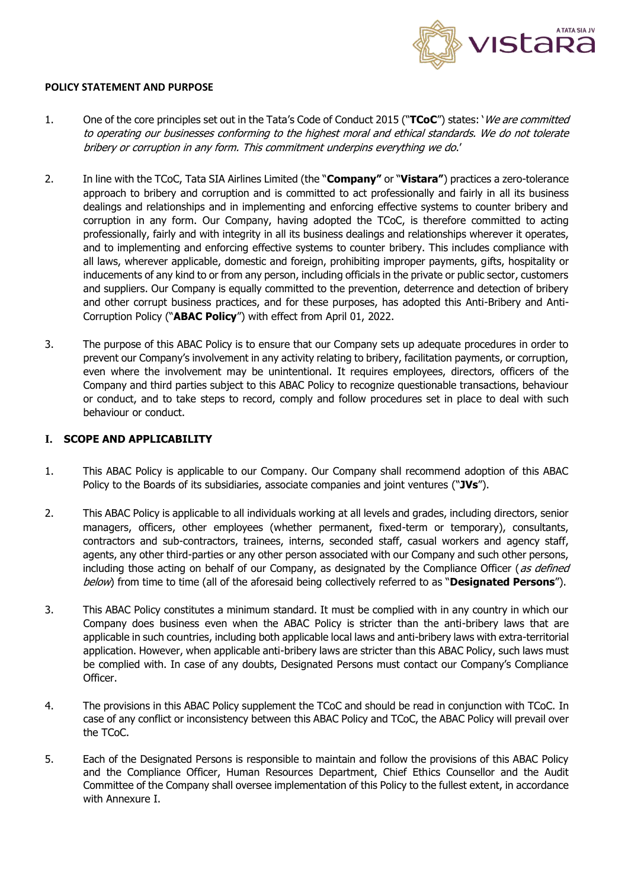

### **POLICY STATEMENT AND PURPOSE**

- 1. One of the core principles set out in the Tata's Code of Conduct 2015 ("**TCoC**") states: 'We are committed to operating our businesses conforming to the highest moral and ethical standards. We do not tolerate bribery or corruption in any form. This commitment underpins everything we do.'
- 2. In line with the TCoC, Tata SIA Airlines Limited (the "**Company"** or "**Vistara"**) practices a zero-tolerance approach to bribery and corruption and is committed to act professionally and fairly in all its business dealings and relationships and in implementing and enforcing effective systems to counter bribery and corruption in any form. Our Company, having adopted the TCoC, is therefore committed to acting professionally, fairly and with integrity in all its business dealings and relationships wherever it operates, and to implementing and enforcing effective systems to counter bribery. This includes compliance with all laws, wherever applicable, domestic and foreign, prohibiting improper payments, gifts, hospitality or inducements of any kind to or from any person, including officials in the private or public sector, customers and suppliers. Our Company is equally committed to the prevention, deterrence and detection of bribery and other corrupt business practices, and for these purposes, has adopted this Anti-Bribery and Anti-Corruption Policy ("**ABAC Policy**") with effect from April 01, 2022.
- 3. The purpose of this ABAC Policy is to ensure that our Company sets up adequate procedures in order to prevent our Company's involvement in any activity relating to bribery, facilitation payments, or corruption, even where the involvement may be unintentional. It requires employees, directors, officers of the Company and third parties subject to this ABAC Policy to recognize questionable transactions, behaviour or conduct, and to take steps to record, comply and follow procedures set in place to deal with such behaviour or conduct.

### <span id="page-2-0"></span>**I. SCOPE AND APPLICABILITY**

- 1. This ABAC Policy is applicable to our Company. Our Company shall recommend adoption of this ABAC Policy to the Boards of its subsidiaries, associate companies and joint ventures ("**JVs**").
- 2. This ABAC Policy is applicable to all individuals working at all levels and grades, including directors, senior managers, officers, other employees (whether permanent, fixed-term or temporary), consultants, contractors and sub-contractors, trainees, interns, seconded staff, casual workers and agency staff, agents, any other third-parties or any other person associated with our Company and such other persons, including those acting on behalf of our Company, as designated by the Compliance Officer (as defined below) from time to time (all of the aforesaid being collectively referred to as "**Designated Persons**").
- 3. This ABAC Policy constitutes a minimum standard. It must be complied with in any country in which our Company does business even when the ABAC Policy is stricter than the anti-bribery laws that are applicable in such countries, including both applicable local laws and anti-bribery laws with extra-territorial application. However, when applicable anti-bribery laws are stricter than this ABAC Policy, such laws must be complied with. In case of any doubts, Designated Persons must contact our Company's Compliance Officer.
- 4. The provisions in this ABAC Policy supplement the TCoC and should be read in conjunction with TCoC. In case of any conflict or inconsistency between this ABAC Policy and TCoC, the ABAC Policy will prevail over the TCoC.
- 5. Each of the Designated Persons is responsible to maintain and follow the provisions of this ABAC Policy and the Compliance Officer, Human Resources Department, Chief Ethics Counsellor and the Audit Committee of the Company shall oversee implementation of this Policy to the fullest extent, in accordance with Annexure I.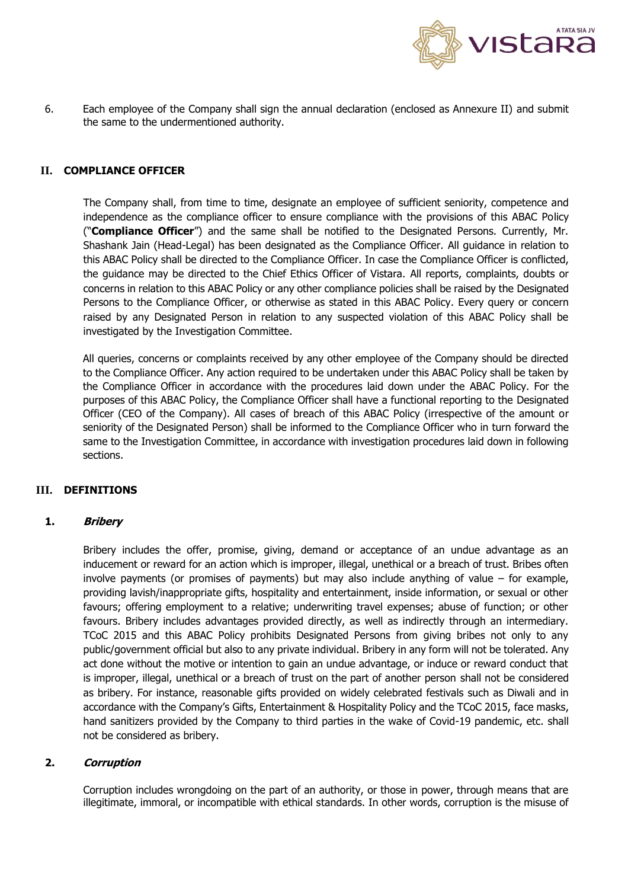

6. Each employee of the Company shall sign the annual declaration (enclosed as Annexure II) and submit the same to the undermentioned authority.

### <span id="page-3-0"></span>**II. COMPLIANCE OFFICER**

The Company shall, from time to time, designate an employee of sufficient seniority, competence and independence as the compliance officer to ensure compliance with the provisions of this ABAC Policy ("**Compliance Officer**") and the same shall be notified to the Designated Persons. Currently, Mr. Shashank Jain (Head-Legal) has been designated as the Compliance Officer. All guidance in relation to this ABAC Policy shall be directed to the Compliance Officer. In case the Compliance Officer is conflicted, the guidance may be directed to the Chief Ethics Officer of Vistara. All reports, complaints, doubts or concerns in relation to this ABAC Policy or any other compliance policies shall be raised by the Designated Persons to the Compliance Officer, or otherwise as stated in this ABAC Policy. Every query or concern raised by any Designated Person in relation to any suspected violation of this ABAC Policy shall be investigated by the Investigation Committee.

All queries, concerns or complaints received by any other employee of the Company should be directed to the Compliance Officer. Any action required to be undertaken under this ABAC Policy shall be taken by the Compliance Officer in accordance with the procedures laid down under the ABAC Policy. For the purposes of this ABAC Policy, the Compliance Officer shall have a functional reporting to the Designated Officer (CEO of the Company). All cases of breach of this ABAC Policy (irrespective of the amount or seniority of the Designated Person) shall be informed to the Compliance Officer who in turn forward the same to the Investigation Committee, in accordance with investigation procedures laid down in following sections.

### <span id="page-3-1"></span>**III. DEFINITIONS**

#### **1. Bribery**

Bribery includes the offer, promise, giving, demand or acceptance of an undue advantage as an inducement or reward for an action which is improper, illegal, unethical or a breach of trust. Bribes often involve payments (or promises of payments) but may also include anything of value – for example, providing lavish/inappropriate gifts, hospitality and entertainment, inside information, or sexual or other favours; offering employment to a relative; underwriting travel expenses; abuse of function; or other favours. Bribery includes advantages provided directly, as well as indirectly through an intermediary. TCoC 2015 and this ABAC Policy prohibits Designated Persons from giving bribes not only to any public/government official but also to any private individual. Bribery in any form will not be tolerated. Any act done without the motive or intention to gain an undue advantage, or induce or reward conduct that is improper, illegal, unethical or a breach of trust on the part of another person shall not be considered as bribery. For instance, reasonable gifts provided on widely celebrated festivals such as Diwali and in accordance with the Company's Gifts, Entertainment & Hospitality Policy and the TCoC 2015, face masks, hand sanitizers provided by the Company to third parties in the wake of Covid-19 pandemic, etc. shall not be considered as bribery.

### **2. Corruption**

Corruption includes wrongdoing on the part of an authority, or those in power, through means that are illegitimate, immoral, or incompatible with ethical standards. In other words, corruption is the misuse of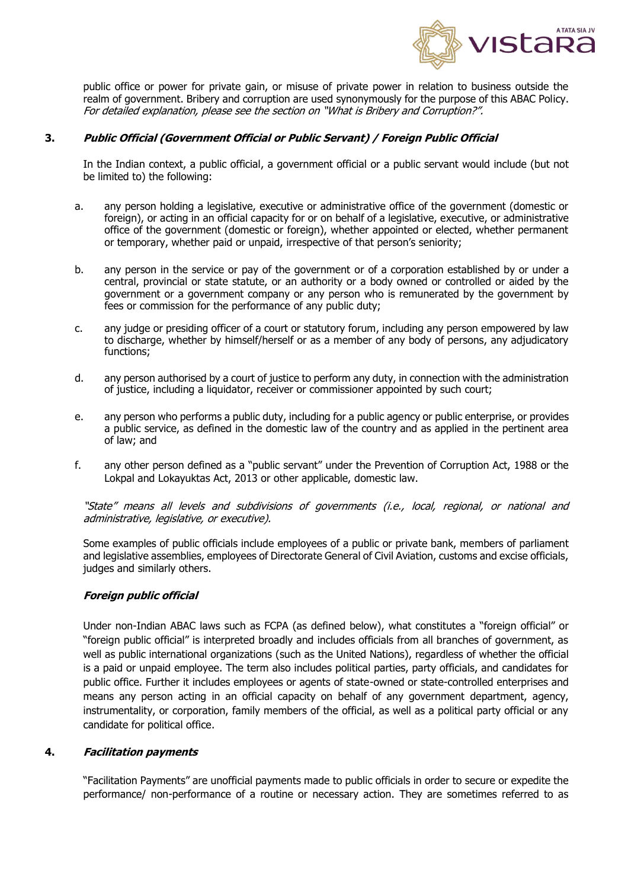

public office or power for private gain, or misuse of private power in relation to business outside the realm of government. Bribery and corruption are used synonymously for the purpose of this ABAC Policy. For detailed explanation, please see the section on "What is Bribery and Corruption?".

### **3. Public Official (Government Official or Public Servant) / Foreign Public Official**

In the Indian context, a public official, a government official or a public servant would include (but not be limited to) the following:

- a. any person holding a legislative, executive or administrative office of the government (domestic or foreign), or acting in an official capacity for or on behalf of a legislative, executive, or administrative office of the government (domestic or foreign), whether appointed or elected, whether permanent or temporary, whether paid or unpaid, irrespective of that person's seniority;
- b. any person in the service or pay of the government or of a corporation established by or under a central, provincial or state statute, or an authority or a body owned or controlled or aided by the government or a government company or any person who is remunerated by the government by fees or commission for the performance of any public duty;
- c. any judge or presiding officer of a court or statutory forum, including any person empowered by law to discharge, whether by himself/herself or as a member of any body of persons, any adjudicatory functions;
- d. any person authorised by a court of justice to perform any duty, in connection with the administration of justice, including a liquidator, receiver or commissioner appointed by such court;
- e. any person who performs a public duty, including for a public agency or public enterprise, or provides a public service, as defined in the domestic law of the country and as applied in the pertinent area of law; and
- f. any other person defined as a "public servant" under the Prevention of Corruption Act, 1988 or the Lokpal and Lokayuktas Act, 2013 or other applicable, domestic law.

"State" means all levels and subdivisions of governments (i.e., local, regional, or national and administrative, legislative, or executive).

Some examples of public officials include employees of a public or private bank, members of parliament and legislative assemblies, employees of Directorate General of Civil Aviation, customs and excise officials, judges and similarly others.

#### **Foreign public official**

Under non-Indian ABAC laws such as FCPA (as defined below), what constitutes a "foreign official" or "foreign public official" is interpreted broadly and includes officials from all branches of government, as well as public international organizations (such as the United Nations), regardless of whether the official is a paid or unpaid employee. The term also includes political parties, party officials, and candidates for public office. Further it includes employees or agents of state-owned or state-controlled enterprises and means any person acting in an official capacity on behalf of any government department, agency, instrumentality, or corporation, family members of the official, as well as a political party official or any candidate for political office.

#### **4. Facilitation payments**

"Facilitation Payments" are unofficial payments made to public officials in order to secure or expedite the performance/ non-performance of a routine or necessary action. They are sometimes referred to as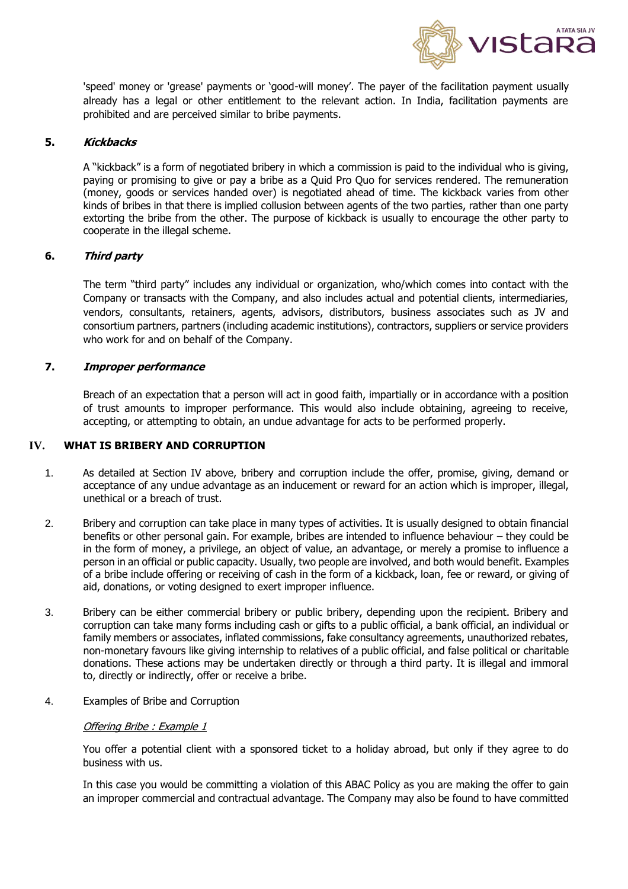

'speed' money or 'grease' payments or 'good-will money'. The payer of the facilitation payment usually already has a legal or other entitlement to the relevant action. In India, facilitation payments are prohibited and are perceived similar to bribe payments.

## **5. Kickbacks**

A "kickback" is a form of negotiated bribery in which a commission is paid to the individual who is giving, paying or promising to give or pay a bribe as a Quid Pro Quo for services rendered. The remuneration (money, goods or services handed over) is negotiated ahead of time. The kickback varies from other kinds of bribes in that there is implied collusion between agents of the two parties, rather than one party extorting the bribe from the other. The purpose of kickback is usually to encourage the other party to cooperate in the illegal scheme.

### **6. Third party**

The term "third party" includes any individual or organization, who/which comes into contact with the Company or transacts with the Company, and also includes actual and potential clients, intermediaries, vendors, consultants, retainers, agents, advisors, distributors, business associates such as JV and consortium partners, partners (including academic institutions), contractors, suppliers or service providers who work for and on behalf of the Company.

## **7. Improper performance**

Breach of an expectation that a person will act in good faith, impartially or in accordance with a position of trust amounts to improper performance. This would also include obtaining, agreeing to receive, accepting, or attempting to obtain, an undue advantage for acts to be performed properly.

## **IV. WHAT IS BRIBERY AND CORRUPTION**

- 1. As detailed at Section IV above, bribery and corruption include the offer, promise, giving, demand or acceptance of any undue advantage as an inducement or reward for an action which is improper, illegal, unethical or a breach of trust.
- 2. Bribery and corruption can take place in many types of activities. It is usually designed to obtain financial benefits or other personal gain. For example, bribes are intended to influence behaviour – they could be in the form of money, a privilege, an object of value, an advantage, or merely a promise to influence a person in an official or public capacity. Usually, two people are involved, and both would benefit. Examples of a bribe include offering or receiving of cash in the form of a kickback, loan, fee or reward, or giving of aid, donations, or voting designed to exert improper influence.
- 3. Bribery can be either commercial bribery or public bribery, depending upon the recipient. Bribery and corruption can take many forms including cash or gifts to a public official, a bank official, an individual or family members or associates, inflated commissions, fake consultancy agreements, unauthorized rebates, non-monetary favours like giving internship to relatives of a public official, and false political or charitable donations. These actions may be undertaken directly or through a third party. It is illegal and immoral to, directly or indirectly, offer or receive a bribe.
- 4. Examples of Bribe and Corruption

### Offering Bribe : Example 1

You offer a potential client with a sponsored ticket to a holiday abroad, but only if they agree to do business with us.

In this case you would be committing a violation of this ABAC Policy as you are making the offer to gain an improper commercial and contractual advantage. The Company may also be found to have committed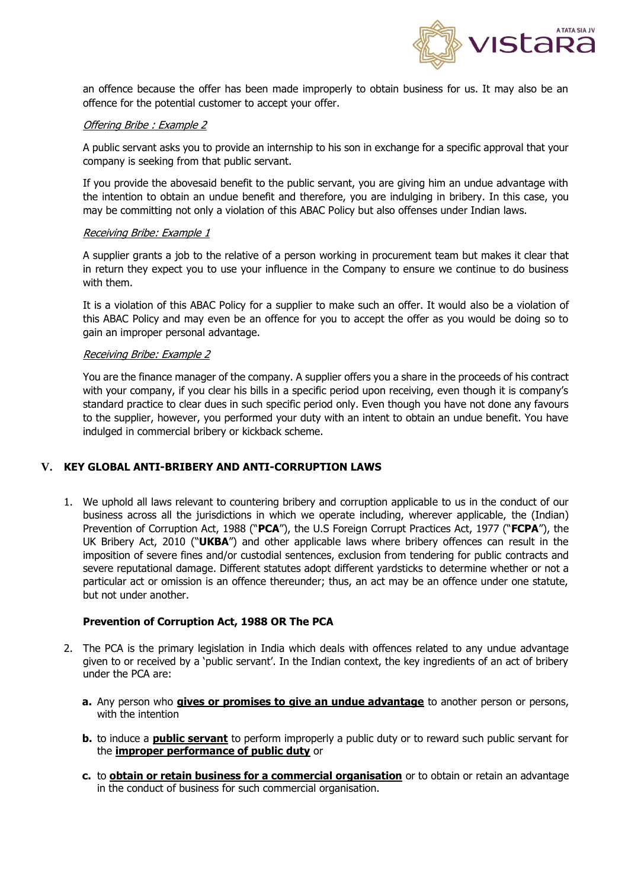

an offence because the offer has been made improperly to obtain business for us. It may also be an offence for the potential customer to accept your offer.

#### Offering Bribe : Example 2

A public servant asks you to provide an internship to his son in exchange for a specific approval that your company is seeking from that public servant.

If you provide the abovesaid benefit to the public servant, you are giving him an undue advantage with the intention to obtain an undue benefit and therefore, you are indulging in bribery. In this case, you may be committing not only a violation of this ABAC Policy but also offenses under Indian laws.

#### Receiving Bribe: Example 1

A supplier grants a job to the relative of a person working in procurement team but makes it clear that in return they expect you to use your influence in the Company to ensure we continue to do business with them.

It is a violation of this ABAC Policy for a supplier to make such an offer. It would also be a violation of this ABAC Policy and may even be an offence for you to accept the offer as you would be doing so to gain an improper personal advantage.

#### Receiving Bribe: Example 2

You are the finance manager of the company. A supplier offers you a share in the proceeds of his contract with your company, if you clear his bills in a specific period upon receiving, even though it is company's standard practice to clear dues in such specific period only. Even though you have not done any favours to the supplier, however, you performed your duty with an intent to obtain an undue benefit. You have indulged in commercial bribery or kickback scheme.

### <span id="page-6-0"></span>**V. KEY GLOBAL ANTI-BRIBERY AND ANTI-CORRUPTION LAWS**

1. We uphold all laws relevant to countering bribery and corruption applicable to us in the conduct of our business across all the jurisdictions in which we operate including, wherever applicable, the (Indian) Prevention of Corruption Act, 1988 ("**PCA**"), the U.S Foreign Corrupt Practices Act, 1977 ("**FCPA**"), the UK Bribery Act, 2010 ("**UKBA**") and other applicable laws where bribery offences can result in the imposition of severe fines and/or custodial sentences, exclusion from tendering for public contracts and severe reputational damage. Different statutes adopt different yardsticks to determine whether or not a particular act or omission is an offence thereunder; thus, an act may be an offence under one statute, but not under another.

### **Prevention of Corruption Act, 1988 OR The PCA**

- 2. The PCA is the primary legislation in India which deals with offences related to any undue advantage given to or received by a 'public servant'. In the Indian context, the key ingredients of an act of bribery under the PCA are:
	- **a.** Any person who **gives or promises to give an undue advantage** to another person or persons, with the intention
	- **b.** to induce a **public servant** to perform improperly a public duty or to reward such public servant for the **improper performance of public duty** or
	- **c.** to **obtain or retain business for a commercial organisation** or to obtain or retain an advantage in the conduct of business for such commercial organisation.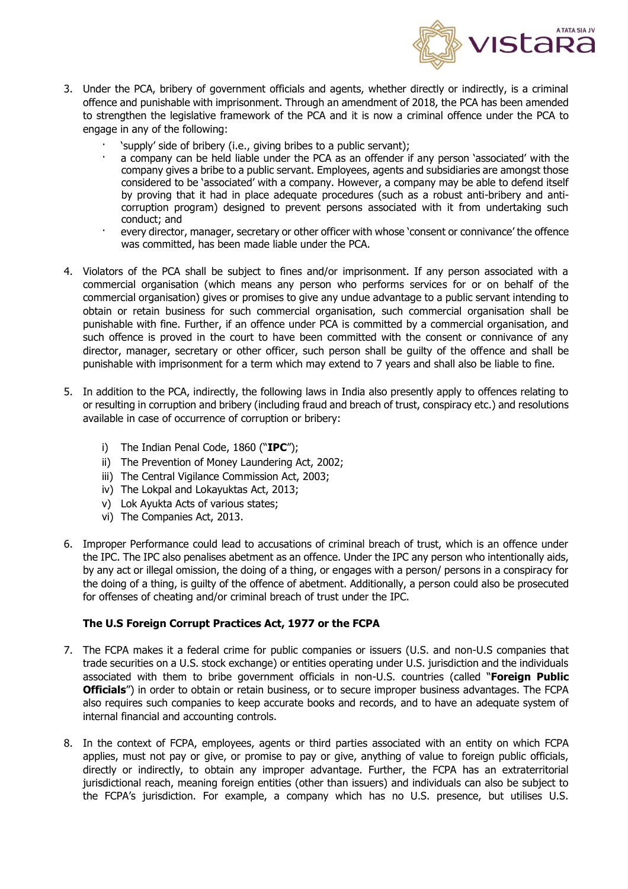

- 3. Under the PCA, bribery of government officials and agents, whether directly or indirectly, is a criminal offence and punishable with imprisonment. Through an amendment of 2018, the PCA has been amended to strengthen the legislative framework of the PCA and it is now a criminal offence under the PCA to engage in any of the following:
	- · 'supply' side of bribery (i.e., giving bribes to a public servant);
	- a company can be held liable under the PCA as an offender if any person 'associated' with the company gives a bribe to a public servant. Employees, agents and subsidiaries are amongst those considered to be 'associated' with a company. However, a company may be able to defend itself by proving that it had in place adequate procedures (such as a robust anti-bribery and anticorruption program) designed to prevent persons associated with it from undertaking such conduct; and
	- every director, manager, secretary or other officer with whose 'consent or connivance' the offence was committed, has been made liable under the PCA.
- 4. Violators of the PCA shall be subject to fines and/or imprisonment. If any person associated with a commercial organisation (which means any person who performs services for or on behalf of the commercial organisation) gives or promises to give any undue advantage to a public servant intending to obtain or retain business for such commercial organisation, such commercial organisation shall be punishable with fine. Further, if an offence under PCA is committed by a commercial organisation, and such offence is proved in the court to have been committed with the consent or connivance of any director, manager, secretary or other officer, such person shall be guilty of the offence and shall be punishable with imprisonment for a term which may extend to 7 years and shall also be liable to fine.
- 5. In addition to the PCA, indirectly, the following laws in India also presently apply to offences relating to or resulting in corruption and bribery (including fraud and breach of trust, conspiracy etc.) and resolutions available in case of occurrence of corruption or bribery:
	- i) The Indian Penal Code, 1860 ("**IPC**");
	- ii) The Prevention of Money Laundering Act, 2002;
	- iii) The Central Vigilance Commission Act, 2003;
	- iv) The Lokpal and Lokayuktas Act, 2013;
	- v) Lok Ayukta Acts of various states;
	- vi) The Companies Act, 2013.
- 6. Improper Performance could lead to accusations of criminal breach of trust, which is an offence under the IPC. The IPC also penalises abetment as an offence. Under the IPC any person who intentionally aids, by any act or illegal omission, the doing of a thing, or engages with a person/ persons in a conspiracy for the doing of a thing, is guilty of the offence of abetment. Additionally, a person could also be prosecuted for offenses of cheating and/or criminal breach of trust under the IPC.

# **The U.S Foreign Corrupt Practices Act, 1977 or the FCPA**

- 7. The FCPA makes it a federal crime for public companies or issuers (U.S. and non-U.S companies that trade securities on a U.S. stock exchange) or entities operating under U.S. jurisdiction and the individuals associated with them to bribe government officials in non-U.S. countries (called "**Foreign Public Officials**") in order to obtain or retain business, or to secure improper business advantages. The FCPA also requires such companies to keep accurate books and records, and to have an adequate system of internal financial and accounting controls.
- 8. In the context of FCPA, employees, agents or third parties associated with an entity on which FCPA applies, must not pay or give, or promise to pay or give, anything of value to foreign public officials, directly or indirectly, to obtain any improper advantage. Further, the FCPA has an extraterritorial jurisdictional reach, meaning foreign entities (other than issuers) and individuals can also be subject to the FCPA's jurisdiction. For example, a company which has no U.S. presence, but utilises U.S.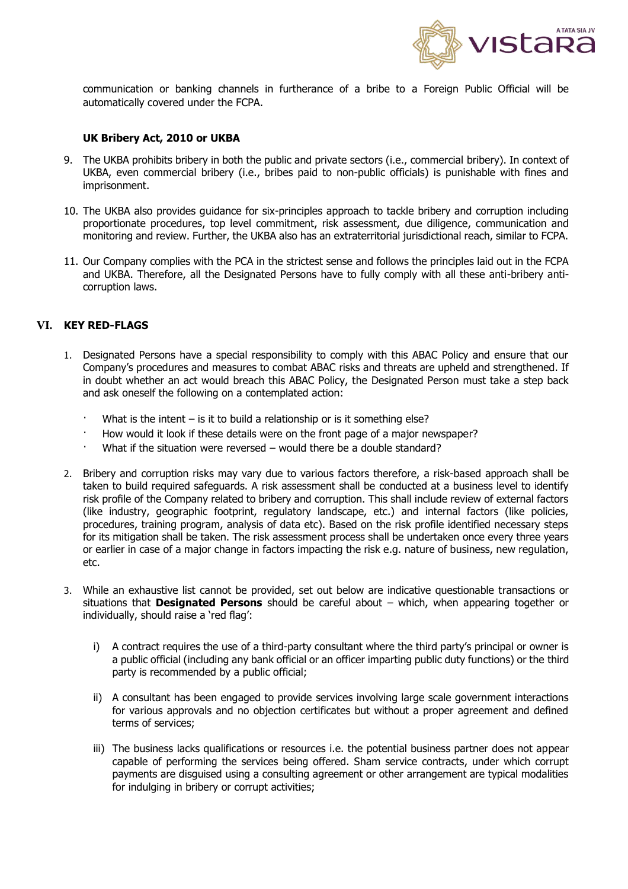

communication or banking channels in furtherance of a bribe to a Foreign Public Official will be automatically covered under the FCPA.

#### **UK Bribery Act, 2010 or UKBA**

- 9. The UKBA prohibits bribery in both the public and private sectors (i.e., commercial bribery). In context of UKBA, even commercial bribery (i.e., bribes paid to non-public officials) is punishable with fines and imprisonment.
- 10. The UKBA also provides guidance for six-principles approach to tackle bribery and corruption including proportionate procedures, top level commitment, risk assessment, due diligence, communication and monitoring and review. Further, the UKBA also has an extraterritorial jurisdictional reach, similar to FCPA.
- 11. Our Company complies with the PCA in the strictest sense and follows the principles laid out in the FCPA and UKBA. Therefore, all the Designated Persons have to fully comply with all these anti-bribery anticorruption laws.

### <span id="page-8-0"></span>**VI. KEY RED-FLAGS**

- 1. Designated Persons have a special responsibility to comply with this ABAC Policy and ensure that our Company's procedures and measures to combat ABAC risks and threats are upheld and strengthened. If in doubt whether an act would breach this ABAC Policy, the Designated Person must take a step back and ask oneself the following on a contemplated action:
	- What is the intent is it to build a relationship or is it something else?
	- · How would it look if these details were on the front page of a major newspaper?
	- What if the situation were reversed would there be a double standard?
- 2. Bribery and corruption risks may vary due to various factors therefore, a risk-based approach shall be taken to build required safeguards. A risk assessment shall be conducted at a business level to identify risk profile of the Company related to bribery and corruption. This shall include review of external factors (like industry, geographic footprint, regulatory landscape, etc.) and internal factors (like policies, procedures, training program, analysis of data etc). Based on the risk profile identified necessary steps for its mitigation shall be taken. The risk assessment process shall be undertaken once every three years or earlier in case of a major change in factors impacting the risk e.g. nature of business, new regulation, etc.
- 3. While an exhaustive list cannot be provided, set out below are indicative questionable transactions or situations that **Designated Persons** should be careful about – which, when appearing together or individually, should raise a 'red flag':
	- i) A contract requires the use of a third-party consultant where the third party's principal or owner is a public official (including any bank official or an officer imparting public duty functions) or the third party is recommended by a public official;
	- ii) A consultant has been engaged to provide services involving large scale government interactions for various approvals and no objection certificates but without a proper agreement and defined terms of services;
	- iii) The business lacks qualifications or resources i.e. the potential business partner does not appear capable of performing the services being offered. Sham service contracts, under which corrupt payments are disguised using a consulting agreement or other arrangement are typical modalities for indulging in bribery or corrupt activities;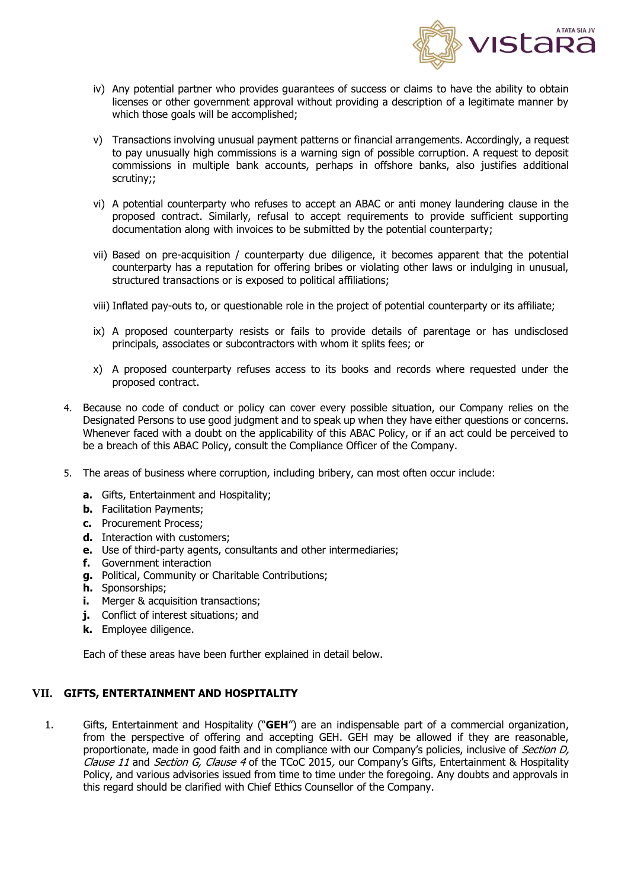

- iv) Any potential partner who provides guarantees of success or claims to have the ability to obtain licenses or other government approval without providing a description of a legitimate manner by which those goals will be accomplished;
- v) Transactions involving unusual payment patterns or financial arrangements. Accordingly, a request to pay unusually high commissions is a warning sign of possible corruption. A request to deposit commissions in multiple bank accounts, perhaps in offshore banks, also justifies additional scrutiny;;
- vi) A potential counterparty who refuses to accept an ABAC or anti money laundering clause in the proposed contract. Similarly, refusal to accept requirements to provide sufficient supporting documentation along with invoices to be submitted by the potential counterparty;
- vii) Based on pre-acquisition / counterparty due diligence, it becomes apparent that the potential counterparty has a reputation for offering bribes or violating other laws or indulging in unusual, structured transactions or is exposed to political affiliations;
- viii) Inflated pay-outs to, or questionable role in the project of potential counterparty or its affiliate;
- ix) A proposed counterparty resists or fails to provide details of parentage or has undisclosed principals, associates or subcontractors with whom it splits fees; or
- x) A proposed counterparty refuses access to its books and records where requested under the proposed contract.
- 4. Because no code of conduct or policy can cover every possible situation, our Company relies on the Designated Persons to use good judgment and to speak up when they have either questions or concerns. Whenever faced with a doubt on the applicability of this ABAC Policy, or if an act could be perceived to be a breach of this ABAC Policy, consult the Compliance Officer of the Company.
- 5. The areas of business where corruption, including bribery, can most often occur include:
	- **a.** Gifts, Entertainment and Hospitality;
	- **b.** Facilitation Payments;
	- **c.** Procurement Process;
	- **d.** Interaction with customers;
	- **e.** Use of third-party agents, consultants and other intermediaries;
	- **f.** Government interaction
	- **g.** Political, Community or Charitable Contributions;
	- **h.** Sponsorships;
	- **i.** Merger & acquisition transactions;
	- **j.** Conflict of interest situations; and
	- **k.** Employee diligence.

Each of these areas have been further explained in detail below.

### <span id="page-9-0"></span>**VII. GIFTS, ENTERTAINMENT AND HOSPITALITY**

1. Gifts, Entertainment and Hospitality ("**GEH**") are an indispensable part of a commercial organization, from the perspective of offering and accepting GEH. GEH may be allowed if they are reasonable, proportionate, made in good faith and in compliance with our Company's policies, inclusive of Section D, Clause 11 and Section G, Clause 4 of the TCoC 2015, our Company's Gifts, Entertainment & Hospitality Policy, and various advisories issued from time to time under the foregoing. Any doubts and approvals in this regard should be clarified with Chief Ethics Counsellor of the Company.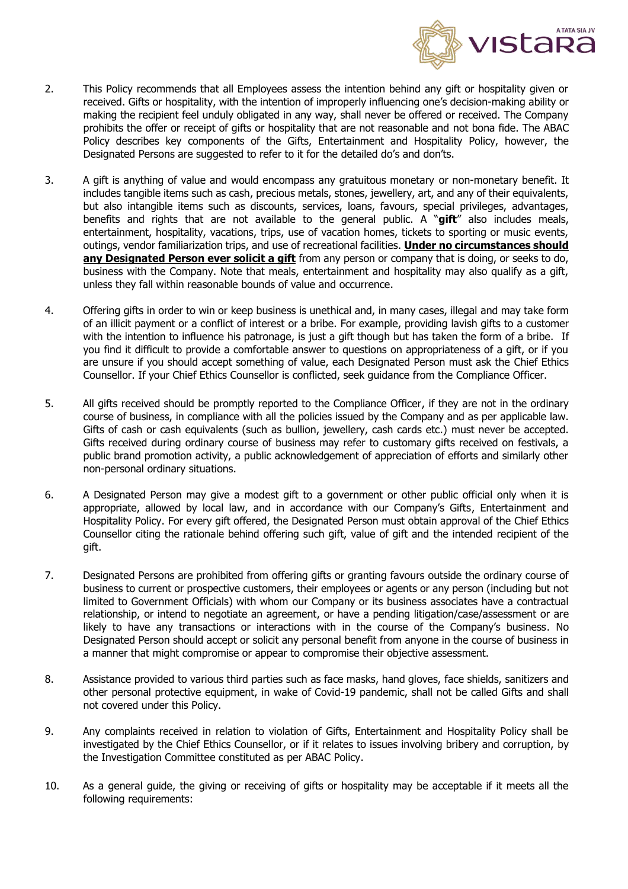

- 2. This Policy recommends that all Employees assess the intention behind any gift or hospitality given or received. Gifts or hospitality, with the intention of improperly influencing one's decision-making ability or making the recipient feel unduly obligated in any way, shall never be offered or received. The Company prohibits the offer or receipt of gifts or hospitality that are not reasonable and not bona fide. The ABAC Policy describes key components of the Gifts, Entertainment and Hospitality Policy, however, the Designated Persons are suggested to refer to it for the detailed do's and don'ts.
- 3. A gift is anything of value and would encompass any gratuitous monetary or non-monetary benefit. It includes tangible items such as cash, precious metals, stones, jewellery, art, and any of their equivalents, but also intangible items such as discounts, services, loans, favours, special privileges, advantages, benefits and rights that are not available to the general public. A "**gift**" also includes meals, entertainment, hospitality, vacations, trips, use of vacation homes, tickets to sporting or music events, outings, vendor familiarization trips, and use of recreational facilities. **Under no circumstances should**  any **Designated Person ever solicit a gift** from any person or company that is doing, or seeks to do, business with the Company. Note that meals, entertainment and hospitality may also qualify as a gift, unless they fall within reasonable bounds of value and occurrence.
- 4. Offering gifts in order to win or keep business is unethical and, in many cases, illegal and may take form of an illicit payment or a conflict of interest or a bribe. For example, providing lavish gifts to a customer with the intention to influence his patronage, is just a gift though but has taken the form of a bribe. If you find it difficult to provide a comfortable answer to questions on appropriateness of a gift, or if you are unsure if you should accept something of value, each Designated Person must ask the Chief Ethics Counsellor. If your Chief Ethics Counsellor is conflicted, seek guidance from the Compliance Officer.
- 5. All gifts received should be promptly reported to the Compliance Officer, if they are not in the ordinary course of business, in compliance with all the policies issued by the Company and as per applicable law. Gifts of cash or cash equivalents (such as bullion, jewellery, cash cards etc.) must never be accepted. Gifts received during ordinary course of business may refer to customary gifts received on festivals, a public brand promotion activity, a public acknowledgement of appreciation of efforts and similarly other non-personal ordinary situations.
- 6. A Designated Person may give a modest gift to a government or other public official only when it is appropriate, allowed by local law, and in accordance with our Company's Gifts, Entertainment and Hospitality Policy. For every gift offered, the Designated Person must obtain approval of the Chief Ethics Counsellor citing the rationale behind offering such gift, value of gift and the intended recipient of the gift.
- 7. Designated Persons are prohibited from offering gifts or granting favours outside the ordinary course of business to current or prospective customers, their employees or agents or any person (including but not limited to Government Officials) with whom our Company or its business associates have a contractual relationship, or intend to negotiate an agreement, or have a pending litigation/case/assessment or are likely to have any transactions or interactions with in the course of the Company's business. No Designated Person should accept or solicit any personal benefit from anyone in the course of business in a manner that might compromise or appear to compromise their objective assessment.
- 8. Assistance provided to various third parties such as face masks, hand gloves, face shields, sanitizers and other personal protective equipment, in wake of Covid-19 pandemic, shall not be called Gifts and shall not covered under this Policy.
- 9. Any complaints received in relation to violation of Gifts, Entertainment and Hospitality Policy shall be investigated by the Chief Ethics Counsellor, or if it relates to issues involving bribery and corruption, by the Investigation Committee constituted as per ABAC Policy.
- 10. As a general guide, the giving or receiving of gifts or hospitality may be acceptable if it meets all the following requirements: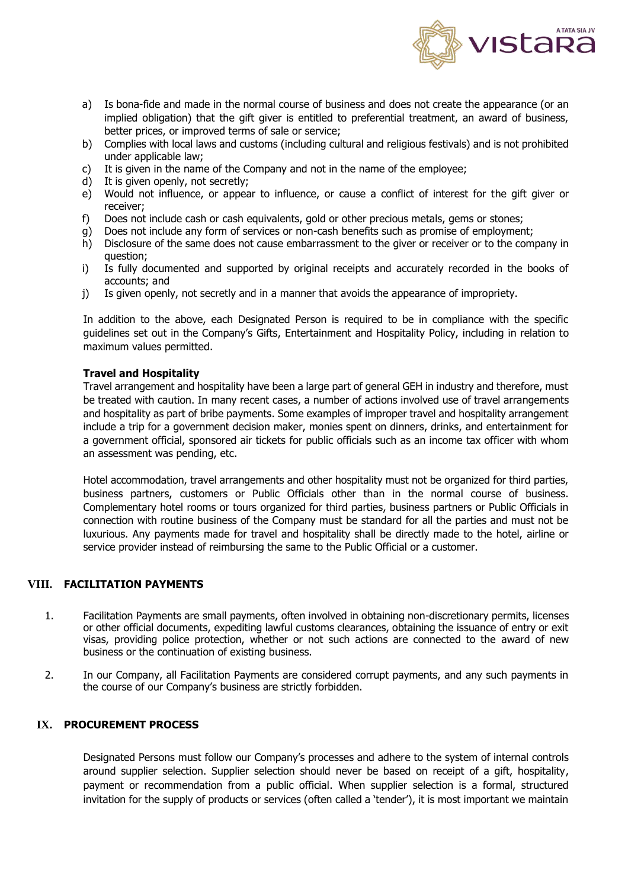

- a) Is bona-fide and made in the normal course of business and does not create the appearance (or an implied obligation) that the gift giver is entitled to preferential treatment, an award of business, better prices, or improved terms of sale or service;
- b) Complies with local laws and customs (including cultural and religious festivals) and is not prohibited under applicable law;
- c) It is given in the name of the Company and not in the name of the employee;
- d) It is given openly, not secretly;
- e) Would not influence, or appear to influence, or cause a conflict of interest for the gift giver or receiver;
- f) Does not include cash or cash equivalents, gold or other precious metals, gems or stones;
- g) Does not include any form of services or non-cash benefits such as promise of employment;
- h) Disclosure of the same does not cause embarrassment to the giver or receiver or to the company in question;
- i) Is fully documented and supported by original receipts and accurately recorded in the books of accounts; and
- j) Is given openly, not secretly and in a manner that avoids the appearance of impropriety.

In addition to the above, each Designated Person is required to be in compliance with the specific guidelines set out in the Company's Gifts, Entertainment and Hospitality Policy, including in relation to maximum values permitted.

### **Travel and Hospitality**

Travel arrangement and hospitality have been a large part of general GEH in industry and therefore, must be treated with caution. In many recent cases, a number of actions involved use of travel arrangements and hospitality as part of bribe payments. Some examples of improper travel and hospitality arrangement include a trip for a government decision maker, monies spent on dinners, drinks, and entertainment for a government official, sponsored air tickets for public officials such as an income tax officer with whom an assessment was pending, etc.

Hotel accommodation, travel arrangements and other hospitality must not be organized for third parties, business partners, customers or Public Officials other than in the normal course of business. Complementary hotel rooms or tours organized for third parties, business partners or Public Officials in connection with routine business of the Company must be standard for all the parties and must not be luxurious. Any payments made for travel and hospitality shall be directly made to the hotel, airline or service provider instead of reimbursing the same to the Public Official or a customer.

### <span id="page-11-0"></span>**VIII. FACILITATION PAYMENTS**

- 1. Facilitation Payments are small payments, often involved in obtaining non-discretionary permits, licenses or other official documents, expediting lawful customs clearances, obtaining the issuance of entry or exit visas, providing police protection, whether or not such actions are connected to the award of new business or the continuation of existing business.
- 2. In our Company, all Facilitation Payments are considered corrupt payments, and any such payments in the course of our Company's business are strictly forbidden.

### <span id="page-11-1"></span>**IX. PROCUREMENT PROCESS**

Designated Persons must follow our Company's processes and adhere to the system of internal controls around supplier selection. Supplier selection should never be based on receipt of a gift, hospitality, payment or recommendation from a public official. When supplier selection is a formal, structured invitation for the supply of products or services (often called a 'tender'), it is most important we maintain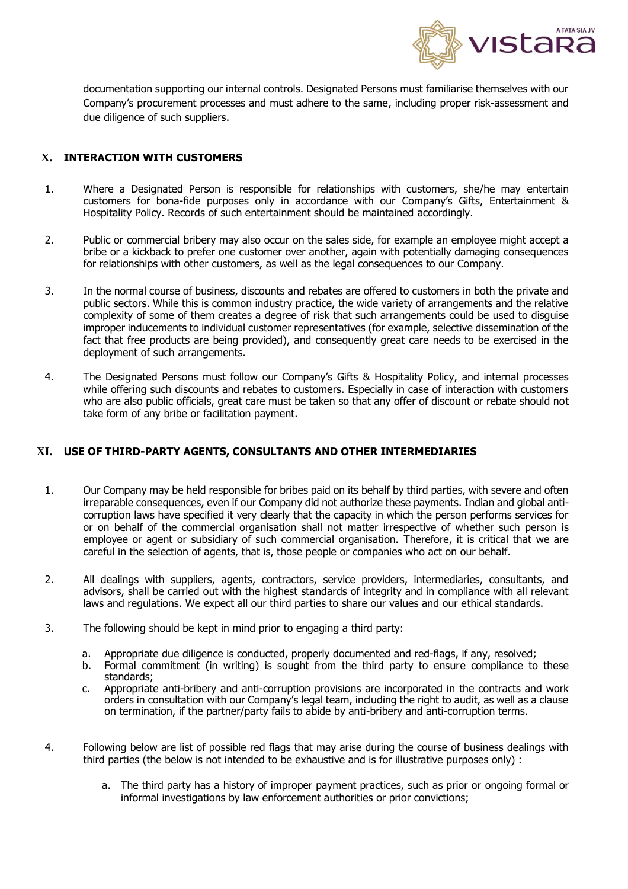

documentation supporting our internal controls. Designated Persons must familiarise themselves with our Company's procurement processes and must adhere to the same, including proper risk-assessment and due diligence of such suppliers.

# <span id="page-12-0"></span>**X. INTERACTION WITH CUSTOMERS**

- 1. Where a Designated Person is responsible for relationships with customers, she/he may entertain customers for bona-fide purposes only in accordance with our Company's Gifts, Entertainment & Hospitality Policy. Records of such entertainment should be maintained accordingly.
- 2. Public or commercial bribery may also occur on the sales side, for example an employee might accept a bribe or a kickback to prefer one customer over another, again with potentially damaging consequences for relationships with other customers, as well as the legal consequences to our Company.
- 3. In the normal course of business, discounts and rebates are offered to customers in both the private and public sectors. While this is common industry practice, the wide variety of arrangements and the relative complexity of some of them creates a degree of risk that such arrangements could be used to disguise improper inducements to individual customer representatives (for example, selective dissemination of the fact that free products are being provided), and consequently great care needs to be exercised in the deployment of such arrangements.
- 4. The Designated Persons must follow our Company's Gifts & Hospitality Policy, and internal processes while offering such discounts and rebates to customers. Especially in case of interaction with customers who are also public officials, great care must be taken so that any offer of discount or rebate should not take form of any bribe or facilitation payment.

### <span id="page-12-1"></span>**XI. USE OF THIRD-PARTY AGENTS, CONSULTANTS AND OTHER INTERMEDIARIES**

- 1. Our Company may be held responsible for bribes paid on its behalf by third parties, with severe and often irreparable consequences, even if our Company did not authorize these payments. Indian and global anticorruption laws have specified it very clearly that the capacity in which the person performs services for or on behalf of the commercial organisation shall not matter irrespective of whether such person is employee or agent or subsidiary of such commercial organisation. Therefore, it is critical that we are careful in the selection of agents, that is, those people or companies who act on our behalf.
- 2. All dealings with suppliers, agents, contractors, service providers, intermediaries, consultants, and advisors, shall be carried out with the highest standards of integrity and in compliance with all relevant laws and regulations. We expect all our third parties to share our values and our ethical standards.
- 3. The following should be kept in mind prior to engaging a third party:
	- a. Appropriate due diligence is conducted, properly documented and red-flags, if any, resolved;
	- b. Formal commitment (in writing) is sought from the third party to ensure compliance to these standards;
	- c. Appropriate anti-bribery and anti-corruption provisions are incorporated in the contracts and work orders in consultation with our Company's legal team, including the right to audit, as well as a clause on termination, if the partner/party fails to abide by anti-bribery and anti-corruption terms.
- 4. Following below are list of possible red flags that may arise during the course of business dealings with third parties (the below is not intended to be exhaustive and is for illustrative purposes only) :
	- a. The third party has a history of improper payment practices, such as prior or ongoing formal or informal investigations by law enforcement authorities or prior convictions;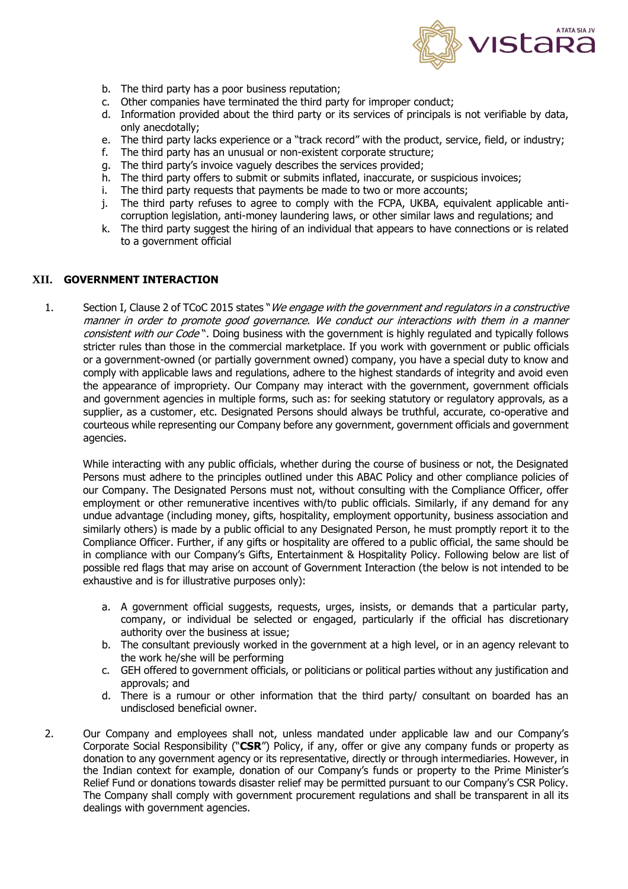

- b. The third party has a poor business reputation;
- c. Other companies have terminated the third party for improper conduct;
- d. Information provided about the third party or its services of principals is not verifiable by data, only anecdotally;
- e. The third party lacks experience or a "track record" with the product, service, field, or industry;
- f. The third party has an unusual or non-existent corporate structure;
- g. The third party's invoice vaguely describes the services provided;
- h. The third party offers to submit or submits inflated, inaccurate, or suspicious invoices;
- i. The third party requests that payments be made to two or more accounts;
- j. The third party refuses to agree to comply with the FCPA, UKBA, equivalent applicable anticorruption legislation, anti-money laundering laws, or other similar laws and regulations; and
- k. The third party suggest the hiring of an individual that appears to have connections or is related to a government official

### <span id="page-13-0"></span>**XII. GOVERNMENT INTERACTION**

1. Section I, Clause 2 of TCoC 2015 states "We engage with the government and regulators in a constructive manner in order to promote good governance. We conduct our interactions with them in a manner consistent with our Code". Doing business with the government is highly regulated and typically follows stricter rules than those in the commercial marketplace. If you work with government or public officials or a government-owned (or partially government owned) company, you have a special duty to know and comply with applicable laws and regulations, adhere to the highest standards of integrity and avoid even the appearance of impropriety. Our Company may interact with the government, government officials and government agencies in multiple forms, such as: for seeking statutory or regulatory approvals, as a supplier, as a customer, etc. Designated Persons should always be truthful, accurate, co-operative and courteous while representing our Company before any government, government officials and government agencies.

While interacting with any public officials, whether during the course of business or not, the Designated Persons must adhere to the principles outlined under this ABAC Policy and other compliance policies of our Company. The Designated Persons must not, without consulting with the Compliance Officer, offer employment or other remunerative incentives with/to public officials. Similarly, if any demand for any undue advantage (including money, gifts, hospitality, employment opportunity, business association and similarly others) is made by a public official to any Designated Person, he must promptly report it to the Compliance Officer. Further, if any gifts or hospitality are offered to a public official, the same should be in compliance with our Company's Gifts, Entertainment & Hospitality Policy. Following below are list of possible red flags that may arise on account of Government Interaction (the below is not intended to be exhaustive and is for illustrative purposes only):

- a. A government official suggests, requests, urges, insists, or demands that a particular party, company, or individual be selected or engaged, particularly if the official has discretionary authority over the business at issue;
- b. The consultant previously worked in the government at a high level, or in an agency relevant to the work he/she will be performing
- c. GEH offered to government officials, or politicians or political parties without any justification and approvals; and
- d. There is a rumour or other information that the third party/ consultant on boarded has an undisclosed beneficial owner.
- 2. Our Company and employees shall not, unless mandated under applicable law and our Company's Corporate Social Responsibility ("**CSR**") Policy, if any, offer or give any company funds or property as donation to any government agency or its representative, directly or through intermediaries. However, in the Indian context for example, donation of our Company's funds or property to the Prime Minister's Relief Fund or donations towards disaster relief may be permitted pursuant to our Company's CSR Policy. The Company shall comply with government procurement regulations and shall be transparent in all its dealings with government agencies.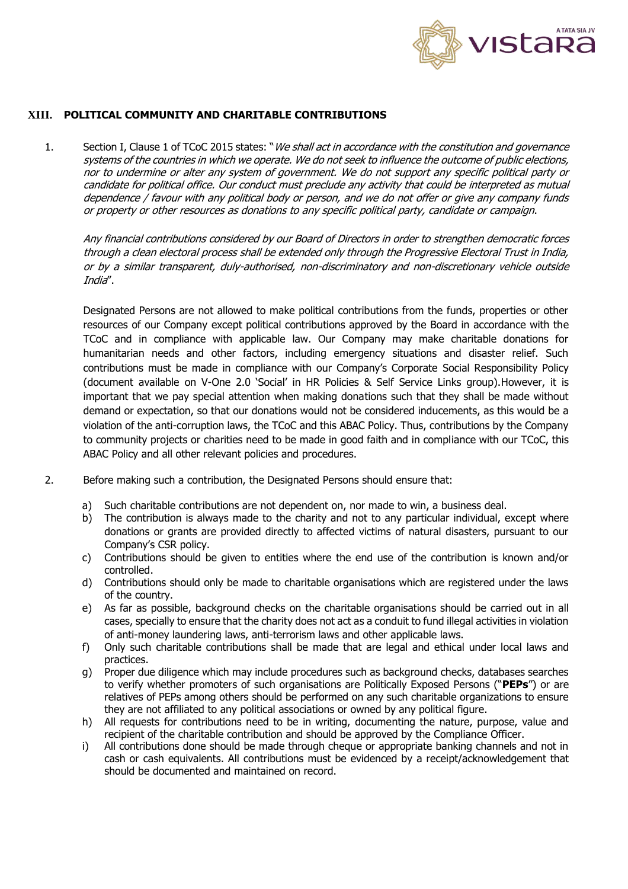

## <span id="page-14-0"></span>**XIII. POLITICAL COMMUNITY AND CHARITABLE CONTRIBUTIONS**

1. Section I, Clause 1 of TCoC 2015 states: "We shall act in accordance with the constitution and governance systems of the countries in which we operate. We do not seek to influence the outcome of public elections, nor to undermine or alter any system of government. We do not support any specific political party or candidate for political office. Our conduct must preclude any activity that could be interpreted as mutual dependence / favour with any political body or person, and we do not offer or give any company funds or property or other resources as donations to any specific political party, candidate or campaign.

Any financial contributions considered by our Board of Directors in order to strengthen democratic forces through a clean electoral process shall be extended only through the Progressive Electoral Trust in India, or by a similar transparent, duly-authorised, non-discriminatory and non-discretionary vehicle outside India".

Designated Persons are not allowed to make political contributions from the funds, properties or other resources of our Company except political contributions approved by the Board in accordance with the TCoC and in compliance with applicable law. Our Company may make charitable donations for humanitarian needs and other factors, including emergency situations and disaster relief. Such contributions must be made in compliance with our Company's Corporate Social Responsibility Policy (document available on V-One 2.0 'Social' in HR Policies & Self Service Links group).However, it is important that we pay special attention when making donations such that they shall be made without demand or expectation, so that our donations would not be considered inducements, as this would be a violation of the anti-corruption laws, the TCoC and this ABAC Policy. Thus, contributions by the Company to community projects or charities need to be made in good faith and in compliance with our TCoC, this ABAC Policy and all other relevant policies and procedures.

- 2. Before making such a contribution, the Designated Persons should ensure that:
	- a) Such charitable contributions are not dependent on, nor made to win, a business deal.
	- b) The contribution is always made to the charity and not to any particular individual, except where donations or grants are provided directly to affected victims of natural disasters, pursuant to our Company's CSR policy.
	- c) Contributions should be given to entities where the end use of the contribution is known and/or controlled.
	- d) Contributions should only be made to charitable organisations which are registered under the laws of the country.
	- e) As far as possible, background checks on the charitable organisations should be carried out in all cases, specially to ensure that the charity does not act as a conduit to fund illegal activities in violation of anti-money laundering laws, anti-terrorism laws and other applicable laws.
	- f) Only such charitable contributions shall be made that are legal and ethical under local laws and practices.
	- g) Proper due diligence which may include procedures such as background checks, databases searches to verify whether promoters of such organisations are Politically Exposed Persons ("**PEPs**") or are relatives of PEPs among others should be performed on any such charitable organizations to ensure they are not affiliated to any political associations or owned by any political figure.
	- h) All requests for contributions need to be in writing, documenting the nature, purpose, value and recipient of the charitable contribution and should be approved by the Compliance Officer.
	- i) All contributions done should be made through cheque or appropriate banking channels and not in cash or cash equivalents. All contributions must be evidenced by a receipt/acknowledgement that should be documented and maintained on record.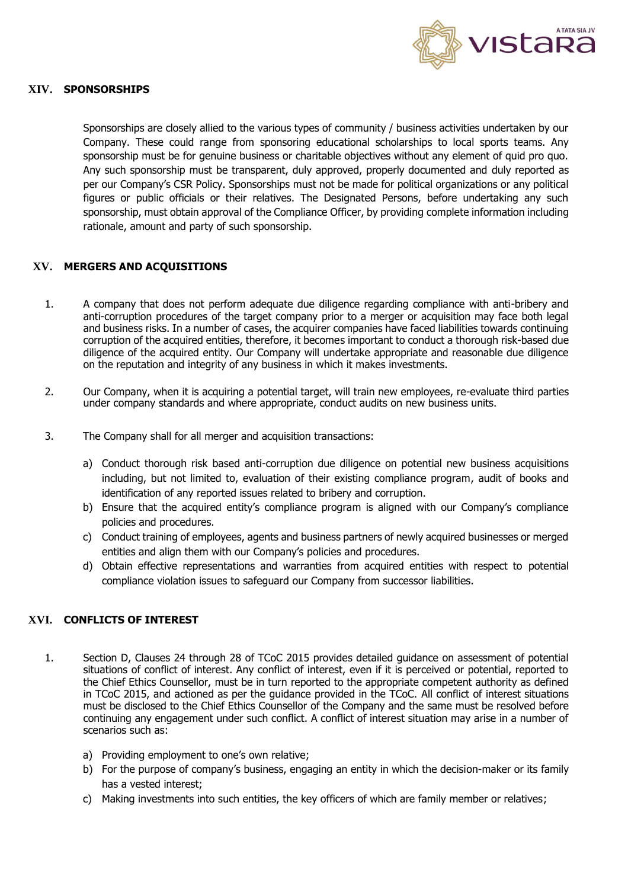

### <span id="page-15-0"></span>**XIV. SPONSORSHIPS**

Sponsorships are closely allied to the various types of community / business activities undertaken by our Company. These could range from sponsoring educational scholarships to local sports teams. Any sponsorship must be for genuine business or charitable objectives without any element of quid pro quo. Any such sponsorship must be transparent, duly approved, properly documented and duly reported as per our Company's CSR Policy. Sponsorships must not be made for political organizations or any political figures or public officials or their relatives. The Designated Persons, before undertaking any such sponsorship, must obtain approval of the Compliance Officer, by providing complete information including rationale, amount and party of such sponsorship.

### <span id="page-15-1"></span>**XV. MERGERS AND ACQUISITIONS**

- 1. A company that does not perform adequate due diligence regarding compliance with anti-bribery and anti-corruption procedures of the target company prior to a merger or acquisition may face both legal and business risks. In a number of cases, the acquirer companies have faced liabilities towards continuing corruption of the acquired entities, therefore, it becomes important to conduct a thorough risk-based due diligence of the acquired entity. Our Company will undertake appropriate and reasonable due diligence on the reputation and integrity of any business in which it makes investments.
- 2. Our Company, when it is acquiring a potential target, will train new employees, re-evaluate third parties under company standards and where appropriate, conduct audits on new business units.
- 3. The Company shall for all merger and acquisition transactions:
	- a) Conduct thorough risk based anti-corruption due diligence on potential new business acquisitions including, but not limited to, evaluation of their existing compliance program, audit of books and identification of any reported issues related to bribery and corruption.
	- b) Ensure that the acquired entity's compliance program is aligned with our Company's compliance policies and procedures.
	- c) Conduct training of employees, agents and business partners of newly acquired businesses or merged entities and align them with our Company's policies and procedures.
	- d) Obtain effective representations and warranties from acquired entities with respect to potential compliance violation issues to safeguard our Company from successor liabilities.

## <span id="page-15-2"></span>**XVI. CONFLICTS OF INTEREST**

- 1. Section D, Clauses 24 through 28 of TCoC 2015 provides detailed guidance on assessment of potential situations of conflict of interest. Any conflict of interest, even if it is perceived or potential, reported to the Chief Ethics Counsellor, must be in turn reported to the appropriate competent authority as defined in TCoC 2015, and actioned as per the guidance provided in the TCoC. All conflict of interest situations must be disclosed to the Chief Ethics Counsellor of the Company and the same must be resolved before continuing any engagement under such conflict. A conflict of interest situation may arise in a number of scenarios such as:
	- a) Providing employment to one's own relative;
	- b) For the purpose of company's business, engaging an entity in which the decision-maker or its family has a vested interest;
	- c) Making investments into such entities, the key officers of which are family member or relatives;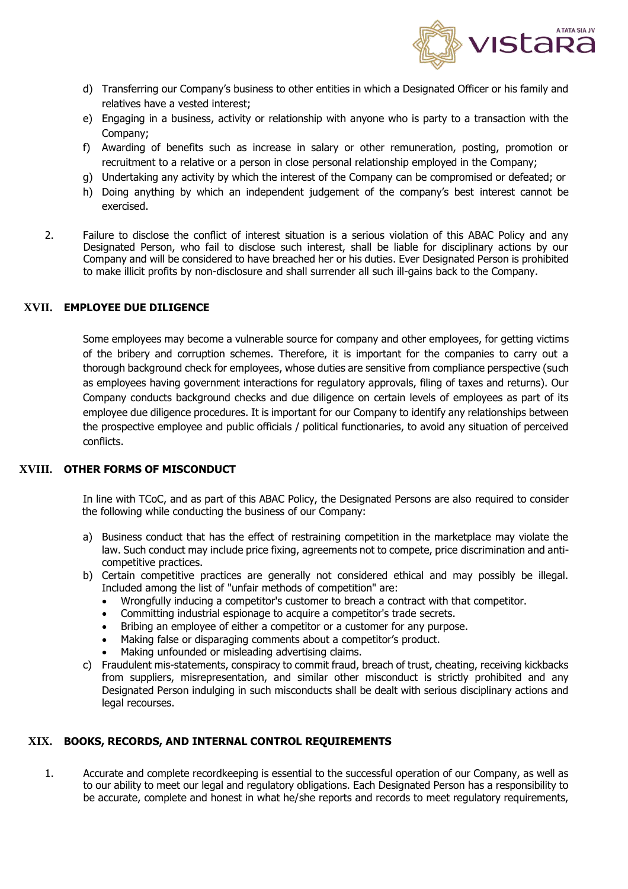

- d) Transferring our Company's business to other entities in which a Designated Officer or his family and relatives have a vested interest;
- e) Engaging in a business, activity or relationship with anyone who is party to a transaction with the Company;
- f) Awarding of benefits such as increase in salary or other remuneration, posting, promotion or recruitment to a relative or a person in close personal relationship employed in the Company;
- g) Undertaking any activity by which the interest of the Company can be compromised or defeated; or
- h) Doing anything by which an independent judgement of the company's best interest cannot be exercised.
- 2. Failure to disclose the conflict of interest situation is a serious violation of this ABAC Policy and any Designated Person, who fail to disclose such interest, shall be liable for disciplinary actions by our Company and will be considered to have breached her or his duties. Ever Designated Person is prohibited to make illicit profits by non-disclosure and shall surrender all such ill-gains back to the Company.

# <span id="page-16-0"></span>**XVII. EMPLOYEE DUE DILIGENCE**

Some employees may become a vulnerable source for company and other employees, for getting victims of the bribery and corruption schemes. Therefore, it is important for the companies to carry out a thorough background check for employees, whose duties are sensitive from compliance perspective (such as employees having government interactions for regulatory approvals, filing of taxes and returns). Our Company conducts background checks and due diligence on certain levels of employees as part of its employee due diligence procedures. It is important for our Company to identify any relationships between the prospective employee and public officials / political functionaries, to avoid any situation of perceived conflicts.

#### <span id="page-16-1"></span>**XVIII. OTHER FORMS OF MISCONDUCT**

In line with TCoC, and as part of this ABAC Policy, the Designated Persons are also required to consider the following while conducting the business of our Company:

- a) Business conduct that has the effect of restraining competition in the marketplace may violate the law. Such conduct may include price fixing, agreements not to compete, price discrimination and anticompetitive practices.
- b) Certain competitive practices are generally not considered ethical and may possibly be illegal. Included among the list of "unfair methods of competition" are:
	- Wrongfully inducing a competitor's customer to breach a contract with that competitor.
	- Committing industrial espionage to acquire a competitor's trade secrets.
	- Bribing an employee of either a competitor or a customer for any purpose.
	- Making false or disparaging comments about a competitor's product.
	- Making unfounded or misleading advertising claims.
- c) Fraudulent mis-statements, conspiracy to commit fraud, breach of trust, cheating, receiving kickbacks from suppliers, misrepresentation, and similar other misconduct is strictly prohibited and any Designated Person indulging in such misconducts shall be dealt with serious disciplinary actions and legal recourses.

### <span id="page-16-2"></span>**XIX. BOOKS, RECORDS, AND INTERNAL CONTROL REQUIREMENTS**

1. Accurate and complete recordkeeping is essential to the successful operation of our Company, as well as to our ability to meet our legal and regulatory obligations. Each Designated Person has a responsibility to be accurate, complete and honest in what he/she reports and records to meet regulatory requirements,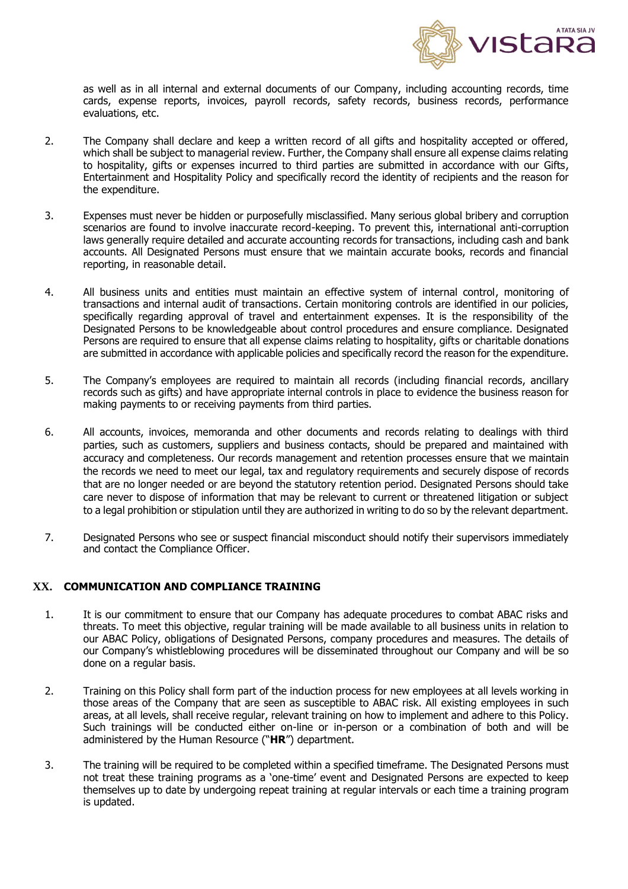

as well as in all internal and external documents of our Company, including accounting records, time cards, expense reports, invoices, payroll records, safety records, business records, performance evaluations, etc.

- 2. The Company shall declare and keep a written record of all gifts and hospitality accepted or offered, which shall be subject to managerial review. Further, the Company shall ensure all expense claims relating to hospitality, gifts or expenses incurred to third parties are submitted in accordance with our Gifts, Entertainment and Hospitality Policy and specifically record the identity of recipients and the reason for the expenditure.
- 3. Expenses must never be hidden or purposefully misclassified. Many serious global bribery and corruption scenarios are found to involve inaccurate record-keeping. To prevent this, international anti-corruption laws generally require detailed and accurate accounting records for transactions, including cash and bank accounts. All Designated Persons must ensure that we maintain accurate books, records and financial reporting, in reasonable detail.
- 4. All business units and entities must maintain an effective system of internal control, monitoring of transactions and internal audit of transactions. Certain monitoring controls are identified in our policies, specifically regarding approval of travel and entertainment expenses. It is the responsibility of the Designated Persons to be knowledgeable about control procedures and ensure compliance. Designated Persons are required to ensure that all expense claims relating to hospitality, gifts or charitable donations are submitted in accordance with applicable policies and specifically record the reason for the expenditure.
- 5. The Company's employees are required to maintain all records (including financial records, ancillary records such as gifts) and have appropriate internal controls in place to evidence the business reason for making payments to or receiving payments from third parties.
- 6. All accounts, invoices, memoranda and other documents and records relating to dealings with third parties, such as customers, suppliers and business contacts, should be prepared and maintained with accuracy and completeness. Our records management and retention processes ensure that we maintain the records we need to meet our legal, tax and regulatory requirements and securely dispose of records that are no longer needed or are beyond the statutory retention period. Designated Persons should take care never to dispose of information that may be relevant to current or threatened litigation or subject to a legal prohibition or stipulation until they are authorized in writing to do so by the relevant department.
- 7. Designated Persons who see or suspect financial misconduct should notify their supervisors immediately and contact the Compliance Officer.

### <span id="page-17-0"></span>**XX. COMMUNICATION AND COMPLIANCE TRAINING**

- 1. It is our commitment to ensure that our Company has adequate procedures to combat ABAC risks and threats. To meet this objective, regular training will be made available to all business units in relation to our ABAC Policy, obligations of Designated Persons, company procedures and measures. The details of our Company's whistleblowing procedures will be disseminated throughout our Company and will be so done on a regular basis.
- 2. Training on this Policy shall form part of the induction process for new employees at all levels working in those areas of the Company that are seen as susceptible to ABAC risk. All existing employees in such areas, at all levels, shall receive regular, relevant training on how to implement and adhere to this Policy. Such trainings will be conducted either on-line or in-person or a combination of both and will be administered by the Human Resource ("**HR**") department.
- 3. The training will be required to be completed within a specified timeframe. The Designated Persons must not treat these training programs as a 'one-time' event and Designated Persons are expected to keep themselves up to date by undergoing repeat training at regular intervals or each time a training program is updated.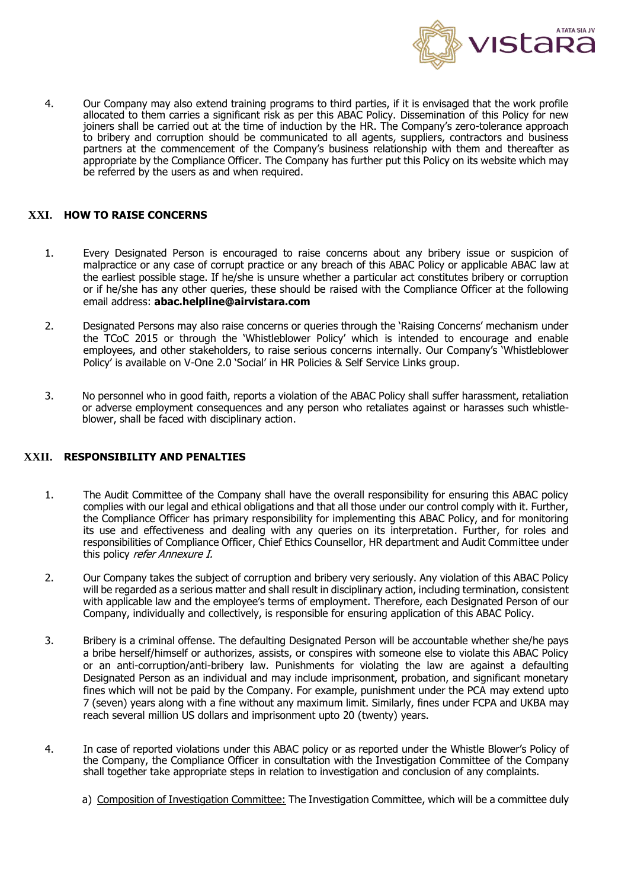

4. Our Company may also extend training programs to third parties, if it is envisaged that the work profile allocated to them carries a significant risk as per this ABAC Policy. Dissemination of this Policy for new joiners shall be carried out at the time of induction by the HR. The Company's zero-tolerance approach to bribery and corruption should be communicated to all agents, suppliers, contractors and business partners at the commencement of the Company's business relationship with them and thereafter as appropriate by the Compliance Officer. The Company has further put this Policy on its website which may be referred by the users as and when required.

## <span id="page-18-0"></span>**XXI. HOW TO RAISE CONCERNS**

- 1. Every Designated Person is encouraged to raise concerns about any bribery issue or suspicion of malpractice or any case of corrupt practice or any breach of this ABAC Policy or applicable ABAC law at the earliest possible stage. If he/she is unsure whether a particular act constitutes bribery or corruption or if he/she has any other queries, these should be raised with the Compliance Officer at the following email address: **abac.helpline@airvistara.com**
- 2. Designated Persons may also raise concerns or queries through the 'Raising Concerns' mechanism under the TCoC 2015 or through the 'Whistleblower Policy' which is intended to encourage and enable employees, and other stakeholders, to raise serious concerns internally. Our Company's 'Whistleblower Policy' is available on V-One 2.0 'Social' in HR Policies & Self Service Links group.
- 3. No personnel who in good faith, reports a violation of the ABAC Policy shall suffer harassment, retaliation or adverse employment consequences and any person who retaliates against or harasses such whistleblower, shall be faced with disciplinary action.

## <span id="page-18-1"></span>**XXII. RESPONSIBILITY AND PENALTIES**

- 1. The Audit Committee of the Company shall have the overall responsibility for ensuring this ABAC policy complies with our legal and ethical obligations and that all those under our control comply with it. Further, the Compliance Officer has primary responsibility for implementing this ABAC Policy, and for monitoring its use and effectiveness and dealing with any queries on its interpretation. Further, for roles and responsibilities of Compliance Officer, Chief Ethics Counsellor, HR department and Audit Committee under this policy refer Annexure I.
- 2. Our Company takes the subject of corruption and bribery very seriously. Any violation of this ABAC Policy will be regarded as a serious matter and shall result in disciplinary action, including termination, consistent with applicable law and the employee's terms of employment. Therefore, each Designated Person of our Company, individually and collectively, is responsible for ensuring application of this ABAC Policy.
- 3. Bribery is a criminal offense. The defaulting Designated Person will be accountable whether she/he pays a bribe herself/himself or authorizes, assists, or conspires with someone else to violate this ABAC Policy or an anti-corruption/anti-bribery law. Punishments for violating the law are against a defaulting Designated Person as an individual and may include imprisonment, probation, and significant monetary fines which will not be paid by the Company. For example, punishment under the PCA may extend upto 7 (seven) years along with a fine without any maximum limit. Similarly, fines under FCPA and UKBA may reach several million US dollars and imprisonment upto 20 (twenty) years.
- 4. In case of reported violations under this ABAC policy or as reported under the Whistle Blower's Policy of the Company, the Compliance Officer in consultation with the Investigation Committee of the Company shall together take appropriate steps in relation to investigation and conclusion of any complaints.
	- a) Composition of Investigation Committee: The Investigation Committee, which will be a committee duly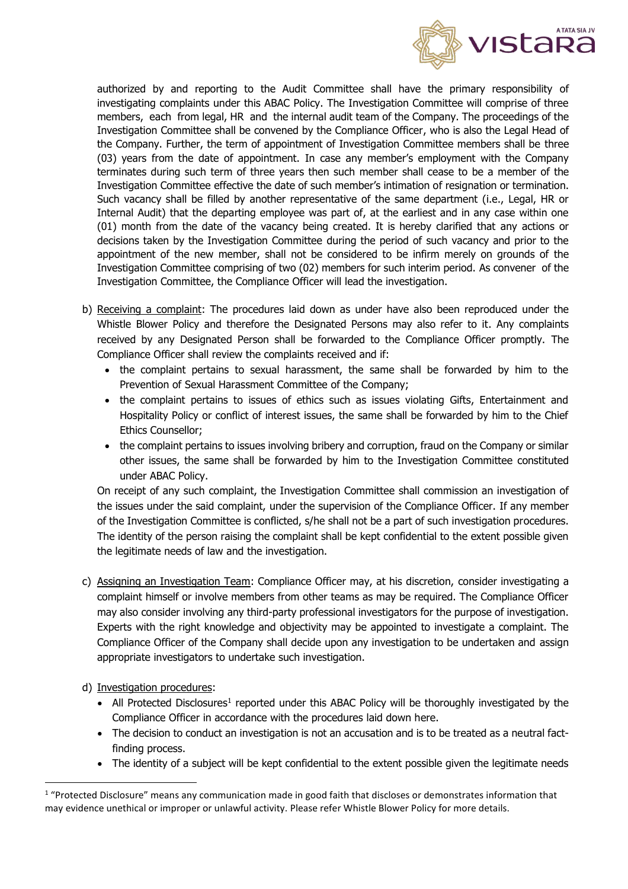

authorized by and reporting to the Audit Committee shall have the primary responsibility of investigating complaints under this ABAC Policy. The Investigation Committee will comprise of three members, each from legal, HR and the internal audit team of the Company. The proceedings of the Investigation Committee shall be convened by the Compliance Officer, who is also the Legal Head of the Company. Further, the term of appointment of Investigation Committee members shall be three (03) years from the date of appointment. In case any member's employment with the Company terminates during such term of three years then such member shall cease to be a member of the Investigation Committee effective the date of such member's intimation of resignation or termination. Such vacancy shall be filled by another representative of the same department (i.e., Legal, HR or Internal Audit) that the departing employee was part of, at the earliest and in any case within one (01) month from the date of the vacancy being created. It is hereby clarified that any actions or decisions taken by the Investigation Committee during the period of such vacancy and prior to the appointment of the new member, shall not be considered to be infirm merely on grounds of the Investigation Committee comprising of two (02) members for such interim period. As convener of the Investigation Committee, the Compliance Officer will lead the investigation.

- b) Receiving a complaint: The procedures laid down as under have also been reproduced under the Whistle Blower Policy and therefore the Designated Persons may also refer to it. Any complaints received by any Designated Person shall be forwarded to the Compliance Officer promptly. The Compliance Officer shall review the complaints received and if:
	- the complaint pertains to sexual harassment, the same shall be forwarded by him to the Prevention of Sexual Harassment Committee of the Company;
	- the complaint pertains to issues of ethics such as issues violating Gifts, Entertainment and Hospitality Policy or conflict of interest issues, the same shall be forwarded by him to the Chief Ethics Counsellor;
	- the complaint pertains to issues involving bribery and corruption, fraud on the Company or similar other issues, the same shall be forwarded by him to the Investigation Committee constituted under ABAC Policy.

On receipt of any such complaint, the Investigation Committee shall commission an investigation of the issues under the said complaint, under the supervision of the Compliance Officer. If any member of the Investigation Committee is conflicted, s/he shall not be a part of such investigation procedures. The identity of the person raising the complaint shall be kept confidential to the extent possible given the legitimate needs of law and the investigation.

- c) Assigning an Investigation Team: Compliance Officer may, at his discretion, consider investigating a complaint himself or involve members from other teams as may be required. The Compliance Officer may also consider involving any third-party professional investigators for the purpose of investigation. Experts with the right knowledge and objectivity may be appointed to investigate a complaint. The Compliance Officer of the Company shall decide upon any investigation to be undertaken and assign appropriate investigators to undertake such investigation.
- d) Investigation procedures:
	- All Protected Disclosures<sup>1</sup> reported under this ABAC Policy will be thoroughly investigated by the Compliance Officer in accordance with the procedures laid down here.
	- The decision to conduct an investigation is not an accusation and is to be treated as a neutral factfinding process.
	- The identity of a subject will be kept confidential to the extent possible given the legitimate needs

<sup>&</sup>lt;sup>1</sup> "Protected Disclosure" means any communication made in good faith that discloses or demonstrates information that may evidence unethical or improper or unlawful activity. Please refer Whistle Blower Policy for more details.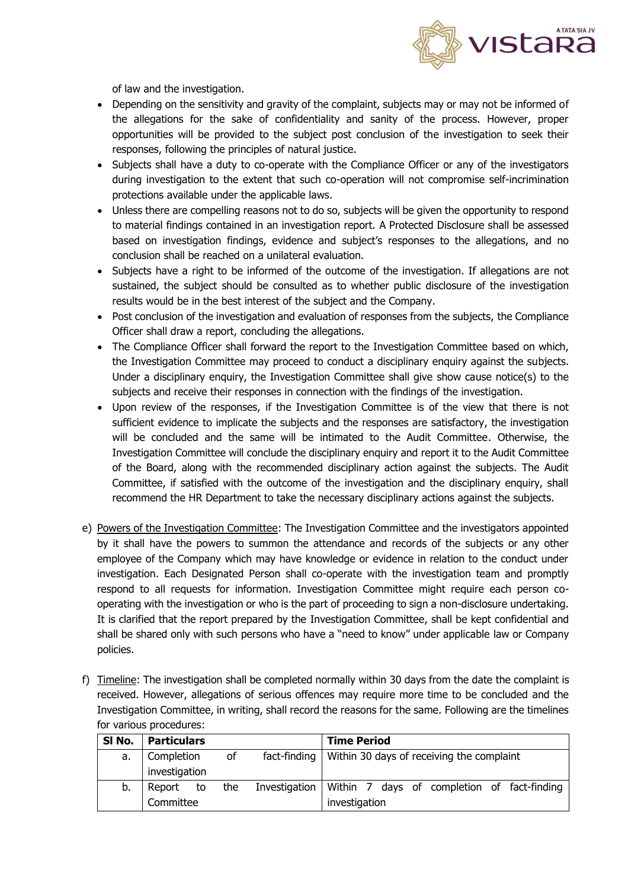

of law and the investigation.

- Depending on the sensitivity and gravity of the complaint, subjects may or may not be informed of the allegations for the sake of confidentiality and sanity of the process. However, proper opportunities will be provided to the subject post conclusion of the investigation to seek their responses, following the principles of natural justice.
- Subjects shall have a duty to co-operate with the Compliance Officer or any of the investigators during investigation to the extent that such co-operation will not compromise self-incrimination protections available under the applicable laws.
- Unless there are compelling reasons not to do so, subjects will be given the opportunity to respond to material findings contained in an investigation report. A Protected Disclosure shall be assessed based on investigation findings, evidence and subject's responses to the allegations, and no conclusion shall be reached on a unilateral evaluation.
- Subjects have a right to be informed of the outcome of the investigation. If allegations are not sustained, the subject should be consulted as to whether public disclosure of the investigation results would be in the best interest of the subject and the Company.
- Post conclusion of the investigation and evaluation of responses from the subjects, the Compliance Officer shall draw a report, concluding the allegations.
- The Compliance Officer shall forward the report to the Investigation Committee based on which, the Investigation Committee may proceed to conduct a disciplinary enquiry against the subjects. Under a disciplinary enquiry, the Investigation Committee shall give show cause notice(s) to the subjects and receive their responses in connection with the findings of the investigation.
- Upon review of the responses, if the Investigation Committee is of the view that there is not sufficient evidence to implicate the subjects and the responses are satisfactory, the investigation will be concluded and the same will be intimated to the Audit Committee. Otherwise, the Investigation Committee will conclude the disciplinary enquiry and report it to the Audit Committee of the Board, along with the recommended disciplinary action against the subjects. The Audit Committee, if satisfied with the outcome of the investigation and the disciplinary enquiry, shall recommend the HR Department to take the necessary disciplinary actions against the subjects.
- e) Powers of the Investigation Committee: The Investigation Committee and the investigators appointed by it shall have the powers to summon the attendance and records of the subjects or any other employee of the Company which may have knowledge or evidence in relation to the conduct under investigation. Each Designated Person shall co-operate with the investigation team and promptly respond to all requests for information. Investigation Committee might require each person cooperating with the investigation or who is the part of proceeding to sign a non-disclosure undertaking. It is clarified that the report prepared by the Investigation Committee, shall be kept confidential and shall be shared only with such persons who have a "need to know" under applicable law or Company policies.
- f) Timeline: The investigation shall be completed normally within 30 days from the date the complaint is received. However, allegations of serious offences may require more time to be concluded and the Investigation Committee, in writing, shall record the reasons for the same. Following are the timelines for various procedures:

| SI No. | <b>Particulars</b> |                                                                 |               | <b>Time Period</b>                          |
|--------|--------------------|-----------------------------------------------------------------|---------------|---------------------------------------------|
| a.     | Completion         | Within 30 days of receiving the complaint<br>fact-finding<br>of |               |                                             |
|        | investigation      |                                                                 |               |                                             |
| b.     | Report<br>to       | the                                                             | Investigation | Within 7 days of completion of fact-finding |
|        | Committee          |                                                                 |               | investigation                               |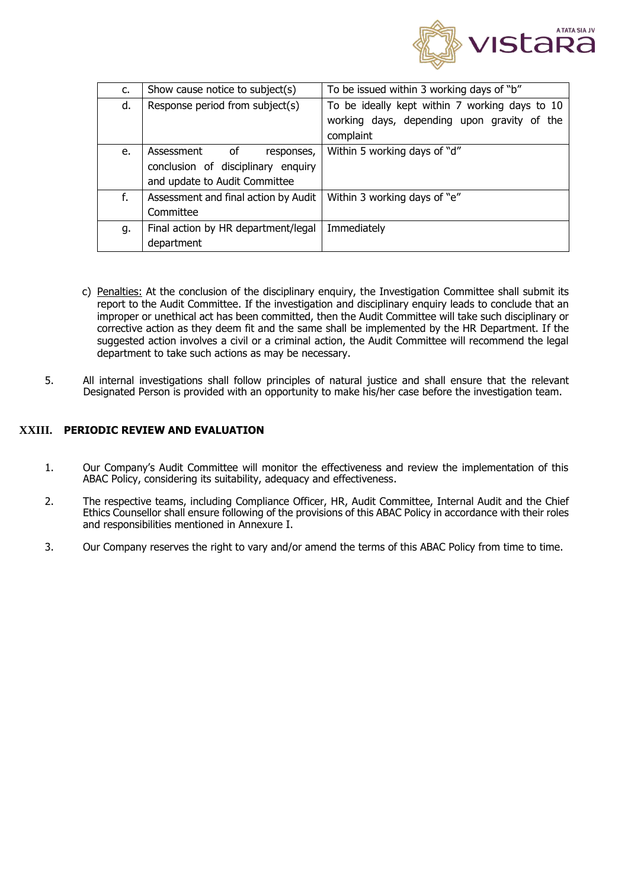

| c. | Show cause notice to subject(s)      | To be issued within 3 working days of "b"      |
|----|--------------------------------------|------------------------------------------------|
| d. | Response period from subject(s)      | To be ideally kept within 7 working days to 10 |
|    |                                      | working days, depending upon gravity of the    |
|    |                                      | complaint                                      |
| e. | Assessment<br>of<br>responses,       | Within 5 working days of "d"                   |
|    | conclusion of disciplinary enquiry   |                                                |
|    | and update to Audit Committee        |                                                |
| f. | Assessment and final action by Audit | Within 3 working days of "e"                   |
|    | Committee                            |                                                |
| g. | Final action by HR department/legal  | Immediately                                    |
|    | department                           |                                                |

- c) Penalties: At the conclusion of the disciplinary enquiry, the Investigation Committee shall submit its report to the Audit Committee. If the investigation and disciplinary enquiry leads to conclude that an improper or unethical act has been committed, then the Audit Committee will take such disciplinary or corrective action as they deem fit and the same shall be implemented by the HR Department. If the suggested action involves a civil or a criminal action, the Audit Committee will recommend the legal department to take such actions as may be necessary.
- 5. All internal investigations shall follow principles of natural justice and shall ensure that the relevant Designated Person is provided with an opportunity to make his/her case before the investigation team.

### <span id="page-21-0"></span>**XXIII. PERIODIC REVIEW AND EVALUATION**

- 1. Our Company's Audit Committee will monitor the effectiveness and review the implementation of this ABAC Policy, considering its suitability, adequacy and effectiveness.
- 2. The respective teams, including Compliance Officer, HR, Audit Committee, Internal Audit and the Chief Ethics Counsellor shall ensure following of the provisions of this ABAC Policy in accordance with their roles and responsibilities mentioned in Annexure I.
- 3. Our Company reserves the right to vary and/or amend the terms of this ABAC Policy from time to time.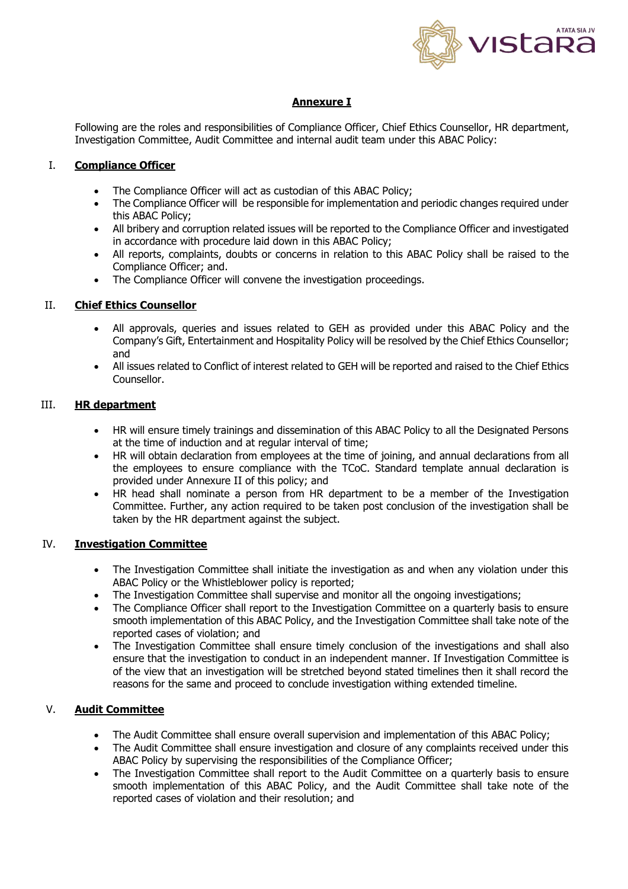

# **Annexure I**

Following are the roles and responsibilities of Compliance Officer, Chief Ethics Counsellor, HR department, Investigation Committee, Audit Committee and internal audit team under this ABAC Policy:

## I. **Compliance Officer**

- The Compliance Officer will act as custodian of this ABAC Policy;
- The Compliance Officer will be responsible for implementation and periodic changes required under this ABAC Policy;
- All bribery and corruption related issues will be reported to the Compliance Officer and investigated in accordance with procedure laid down in this ABAC Policy;
- All reports, complaints, doubts or concerns in relation to this ABAC Policy shall be raised to the Compliance Officer; and.
- The Compliance Officer will convene the investigation proceedings.

## II. **Chief Ethics Counsellor**

- All approvals, queries and issues related to GEH as provided under this ABAC Policy and the Company's Gift, Entertainment and Hospitality Policy will be resolved by the Chief Ethics Counsellor; and
- All issues related to Conflict of interest related to GEH will be reported and raised to the Chief Ethics Counsellor.

## III. **HR department**

- HR will ensure timely trainings and dissemination of this ABAC Policy to all the Designated Persons at the time of induction and at regular interval of time;
- HR will obtain declaration from employees at the time of joining, and annual declarations from all the employees to ensure compliance with the TCoC. Standard template annual declaration is provided under Annexure II of this policy; and
- HR head shall nominate a person from HR department to be a member of the Investigation Committee. Further, any action required to be taken post conclusion of the investigation shall be taken by the HR department against the subject.

# IV. **Investigation Committee**

- The Investigation Committee shall initiate the investigation as and when any violation under this ABAC Policy or the Whistleblower policy is reported;
- The Investigation Committee shall supervise and monitor all the ongoing investigations;
- The Compliance Officer shall report to the Investigation Committee on a quarterly basis to ensure smooth implementation of this ABAC Policy, and the Investigation Committee shall take note of the reported cases of violation; and
- The Investigation Committee shall ensure timely conclusion of the investigations and shall also ensure that the investigation to conduct in an independent manner. If Investigation Committee is of the view that an investigation will be stretched beyond stated timelines then it shall record the reasons for the same and proceed to conclude investigation withing extended timeline.

### V. **Audit Committee**

- The Audit Committee shall ensure overall supervision and implementation of this ABAC Policy;
- The Audit Committee shall ensure investigation and closure of any complaints received under this ABAC Policy by supervising the responsibilities of the Compliance Officer;
- The Investigation Committee shall report to the Audit Committee on a quarterly basis to ensure smooth implementation of this ABAC Policy, and the Audit Committee shall take note of the reported cases of violation and their resolution; and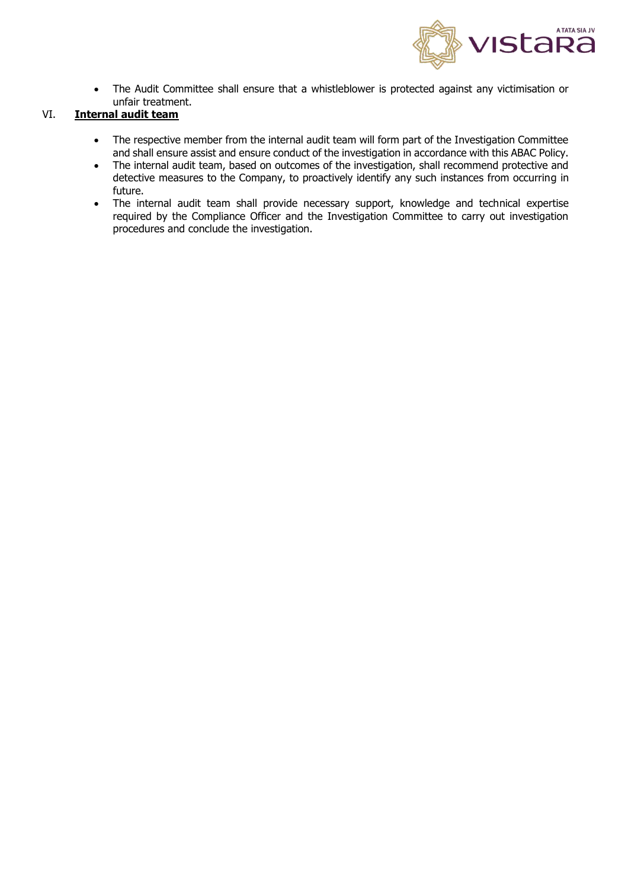

• The Audit Committee shall ensure that a whistleblower is protected against any victimisation or unfair treatment.

# VI. **Internal audit team**

- The respective member from the internal audit team will form part of the Investigation Committee and shall ensure assist and ensure conduct of the investigation in accordance with this ABAC Policy.
- The internal audit team, based on outcomes of the investigation, shall recommend protective and detective measures to the Company, to proactively identify any such instances from occurring in future.
- The internal audit team shall provide necessary support, knowledge and technical expertise required by the Compliance Officer and the Investigation Committee to carry out investigation procedures and conclude the investigation.